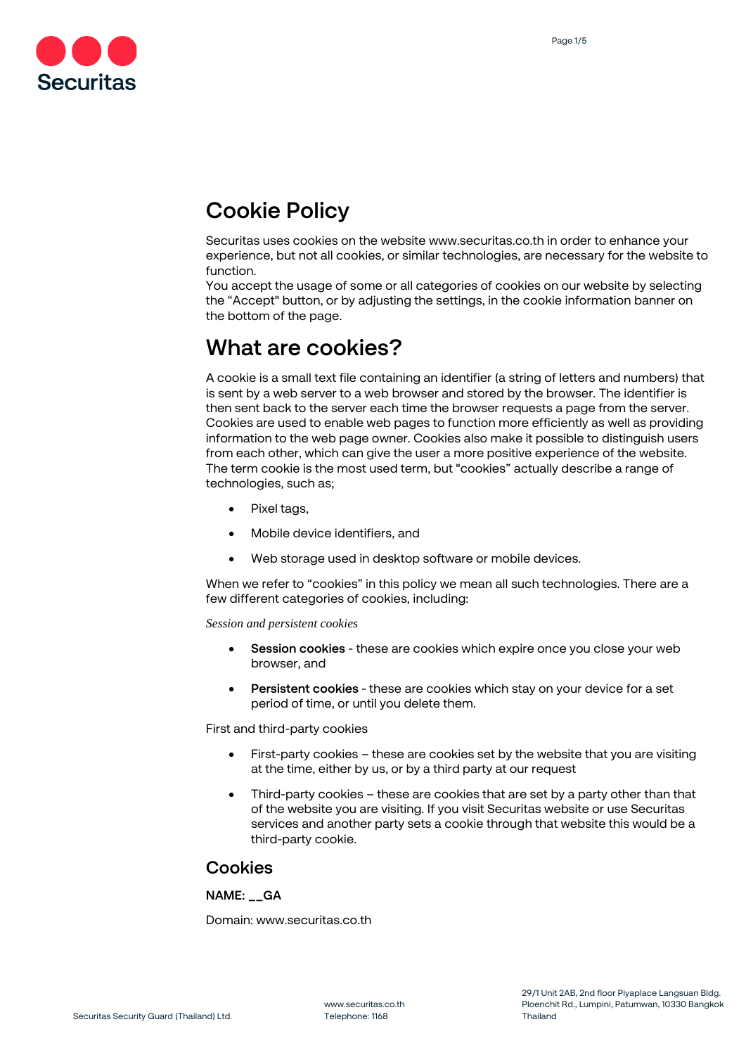

# **Cookie Policy**

Securitas uses cookies on the website www.securitas.co.th in order to enhance your experience, but not all cookies, or similar technologies, are necessary for the website to function.

You accept the usage of some or all categories of cookies on our website by selecting the "Accept" button, or by adjusting the settings, in the cookie information banner on the bottom of the page.

# **What are cookies?**

A cookie is a small text file containing an identifier (a string of letters and numbers) that is sent by a web server to a web browser and stored by the browser. The identifier is then sent back to the server each time the browser requests a page from the server. Cookies are used to enable web pages to function more efficiently as well as providing information to the web page owner. Cookies also make it possible to distinguish users from each other, which can give the user a more positive experience of the website. The term cookie is the most used term, but "cookies" actually describe a range of technologies, such as;

- Pixel tags,
- Mobile device identifiers, and
- Web storage used in desktop software or mobile devices.

When we refer to "cookies" in this policy we mean all such technologies. There are a few different categories of cookies, including:

*Session and persistent cookies*

- **Session cookies** these are cookies which expire once you close your web browser, and
- **Persistent cookies** these are cookies which stay on your device for a set period of time, or until you delete them.

First and third-party cookies

- First-party cookies these are cookies set by the website that you are visiting at the time, either by us, or by a third party at our request
- Third-party cookies these are cookies that are set by a party other than that of the website you are visiting. If you visit Securitas website or use Securitas services and another party sets a cookie through that website this would be a third-party cookie.

### **Cookies**

#### **NAME: \_\_GA**

Domain: www.securitas.co.th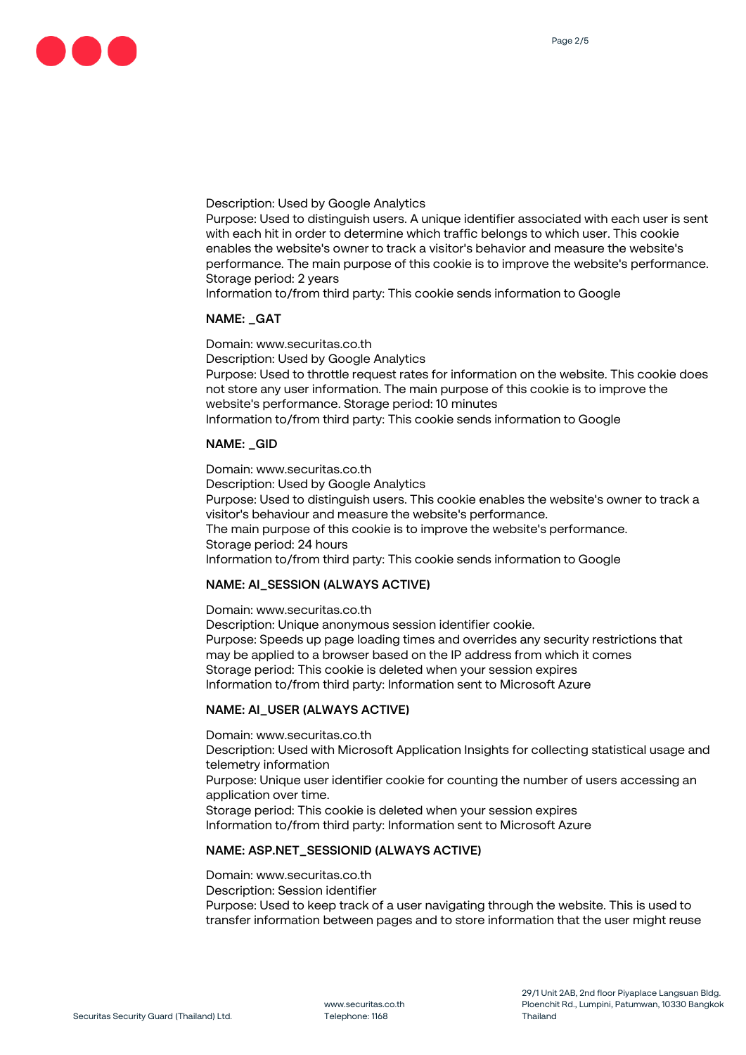

Description: Used by Google Analytics

Purpose: Used to distinguish users. A unique identifier associated with each user is sent with each hit in order to determine which traffic belongs to which user. This cookie enables the website's owner to track a visitor's behavior and measure the website's performance. The main purpose of this cookie is to improve the website's performance. Storage period: 2 years

Information to/from third party: This cookie sends information to Google

#### **NAME: \_GAT**

Domain: www.securitas.co.th Description: Used by Google Analytics Purpose: Used to throttle request rates for information on the website. This cookie does not store any user information. The main purpose of this cookie is to improve the website's performance. Storage period: 10 minutes Information to/from third party: This cookie sends information to Google

#### **NAME: \_GID**

Domain: www.securitas.co.th Description: Used by Google Analytics Purpose: Used to distinguish users. This cookie enables the website's owner to track a visitor's behaviour and measure the website's performance. The main purpose of this cookie is to improve the website's performance. Storage period: 24 hours Information to/from third party: This cookie sends information to Google

#### **NAME: AI\_SESSION (ALWAYS ACTIVE)**

Domain: www.securitas.co.th Description: Unique anonymous session identifier cookie. Purpose: Speeds up page loading times and overrides any security restrictions that may be applied to a browser based on the IP address from which it comes Storage period: This cookie is deleted when your session expires Information to/from third party: Information sent to Microsoft Azure

#### **NAME: AI\_USER (ALWAYS ACTIVE)**

Domain: www.securitas.co.th Description: Used with Microsoft Application Insights for collecting statistical usage and telemetry information Purpose: Unique user identifier cookie for counting the number of users accessing an application over time. Storage period: This cookie is deleted when your session expires Information to/from third party: Information sent to Microsoft Azure

#### **NAME: ASP.NET\_SESSIONID (ALWAYS ACTIVE)**

Domain: www.securitas.co.th Description: Session identifier Purpose: Used to keep track of a user navigating through the website. This is used to transfer information between pages and to store information that the user might reuse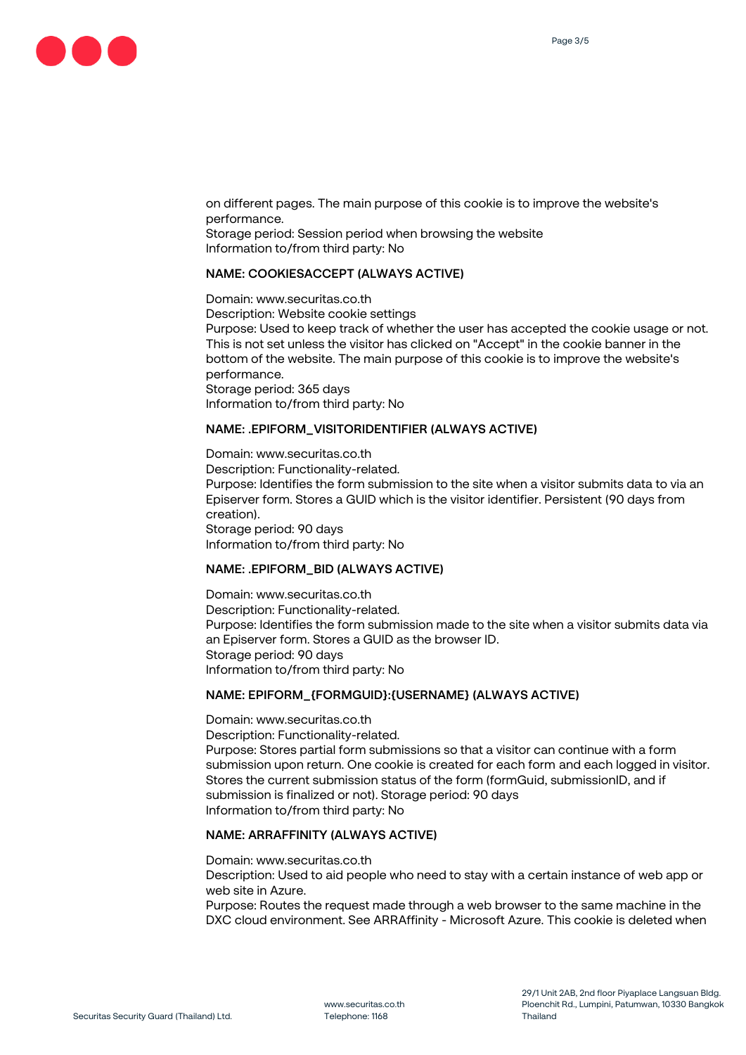on different pages. The main purpose of this cookie is to improve the website's performance. Storage period: Session period when browsing the website Information to/from third party: No

#### **NAME: COOKIESACCEPT (ALWAYS ACTIVE)**

Domain: www.securitas.co.th Description: Website cookie settings Purpose: Used to keep track of whether the user has accepted the cookie usage or not. This is not set unless the visitor has clicked on "Accept" in the cookie banner in the bottom of the website. The main purpose of this cookie is to improve the website's performance. Storage period: 365 days Information to/from third party: No

#### **NAME: .EPIFORM\_VISITORIDENTIFIER (ALWAYS ACTIVE)**

Domain: www.securitas.co.th Description: Functionality-related. Purpose: Identifies the form submission to the site when a visitor submits data to via an Episerver form. Stores a GUID which is the visitor identifier. Persistent (90 days from creation). Storage period: 90 days Information to/from third party: No

#### **NAME: .EPIFORM\_BID (ALWAYS ACTIVE)**

Domain: www.securitas.co.th Description: Functionality-related. Purpose: Identifies the form submission made to the site when a visitor submits data via an Episerver form. Stores a GUID as the browser ID. Storage period: 90 days Information to/from third party: No

#### **NAME: EPIFORM\_{FORMGUID}:{USERNAME} (ALWAYS ACTIVE)**

Domain: www.securitas.co.th Description: Functionality-related. Purpose: Stores partial form submissions so that a visitor can continue with a form submission upon return. One cookie is created for each form and each logged in visitor. Stores the current submission status of the form (formGuid, submissionID, and if submission is finalized or not). Storage period: 90 days Information to/from third party: No

#### **NAME: ARRAFFINITY (ALWAYS ACTIVE)**

Domain: www.securitas.co.th

Description: Used to aid people who need to stay with a certain instance of web app or web site in Azure.

Purpose: Routes the request made through a web browser to the same machine in the DXC cloud environment. See ARRAffinity - Microsoft Azure. This cookie is deleted when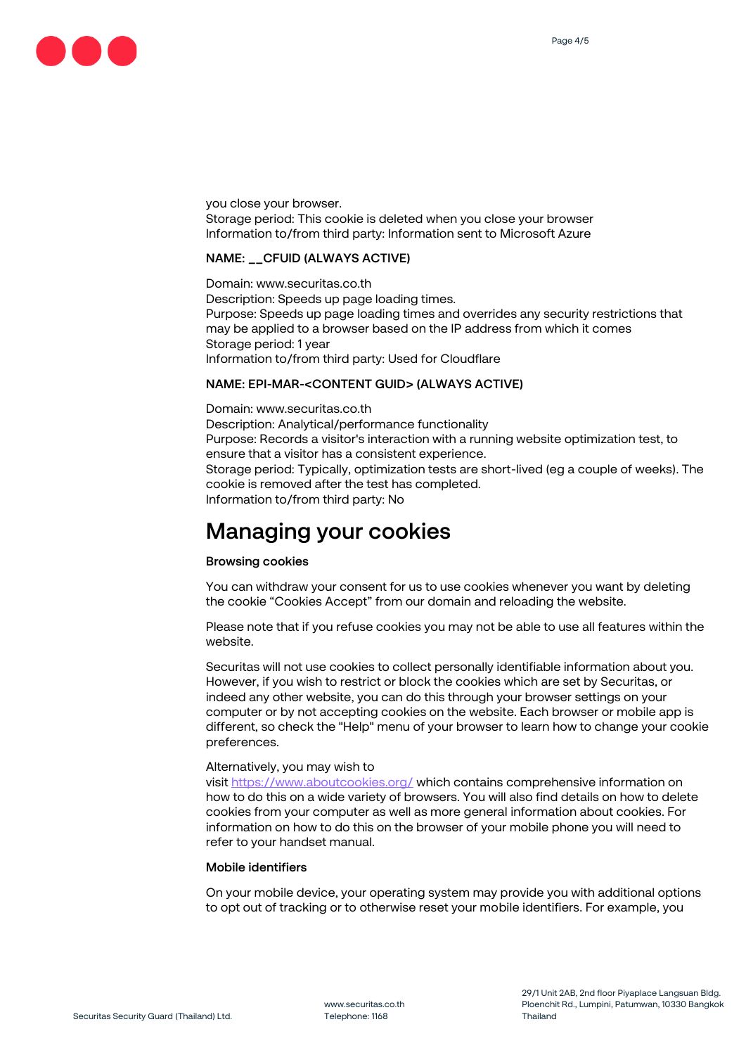

you close your browser. Storage period: This cookie is deleted when you close your browser Information to/from third party: Information sent to Microsoft Azure

#### **NAME: \_\_CFUID (ALWAYS ACTIVE)**

Domain: www.securitas.co.th Description: Speeds up page loading times. Purpose: Speeds up page loading times and overrides any security restrictions that may be applied to a browser based on the IP address from which it comes Storage period: 1 year Information to/from third party: Used for Cloudflare

#### **NAME: EPI-MAR-<CONTENT GUID> (ALWAYS ACTIVE)**

Domain: www.securitas.co.th Description: Analytical/performance functionality Purpose: Records a visitor's interaction with a running website optimization test, to ensure that a visitor has a consistent experience. Storage period: Typically, optimization tests are short-lived (eg a couple of weeks). The cookie is removed after the test has completed. Information to/from third party: No

## **Managing your cookies**

#### **Browsing cookies**

You can withdraw your consent for us to use cookies whenever you want by deleting the cookie "Cookies Accept" from our domain and reloading the website.

Please note that if you refuse cookies you may not be able to use all features within the website.

Securitas will not use cookies to collect personally identifiable information about you. However, if you wish to restrict or block the cookies which are set by Securitas, or indeed any other website, you can do this through your browser settings on your computer or by not accepting cookies on the website. Each browser or mobile app is different, so check the "Help" menu of your browser to learn how to change your cookie preferences.

#### Alternatively, you may wish to

visit<https://www.aboutcookies.org/> which contains comprehensive information on how to do this on a wide variety of browsers. You will also find details on how to delete cookies from your computer as well as more general information about cookies. For information on how to do this on the browser of your mobile phone you will need to refer to your handset manual.

#### **Mobile identifiers**

On your mobile device, your operating system may provide you with additional options to opt out of tracking or to otherwise reset your mobile identifiers. For example, you